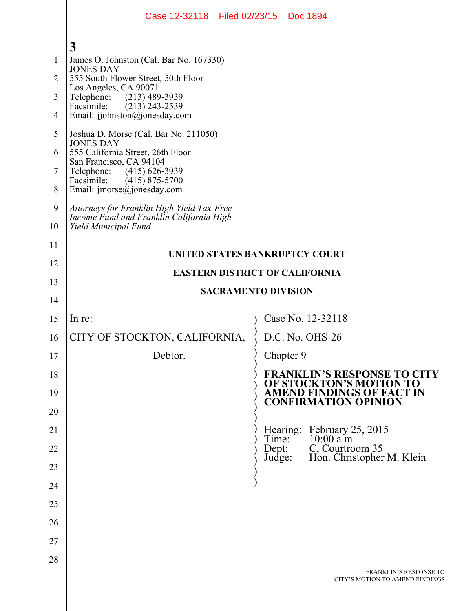|                                                                   | Case 12-32118 Filed 02/23/15 Doc 1894                                                                                                                                                                                                                                                                                                                                                                                                                                           |                                                                      |
|-------------------------------------------------------------------|---------------------------------------------------------------------------------------------------------------------------------------------------------------------------------------------------------------------------------------------------------------------------------------------------------------------------------------------------------------------------------------------------------------------------------------------------------------------------------|----------------------------------------------------------------------|
| $\mathbf{1}$<br>$\overline{2}$<br>3<br>4<br>5<br>6<br>7<br>8<br>9 | $\mathbf{3}$<br>James O. Johnston (Cal. Bar No. 167330)<br><b>JONES DAY</b><br>555 South Flower Street, 50th Floor<br>Los Angeles, CA 90071<br>$(213)$ 489-3939<br>Telephone:<br>Facsimile:<br>$(213)$ 243-2539<br>Email: jjohnston@jonesday.com<br>Joshua D. Morse (Cal. Bar No. 211050)<br><b>JONES DAY</b><br>555 California Street, 26th Floor<br>San Francisco, CA 94104<br>$(415)$ 626-3939<br>Telephone:<br>Facsimile:<br>$(415)$ 875-5700<br>Email: jmorse@jonesday.com |                                                                      |
| 10                                                                | Attorneys for Franklin High Yield Tax-Free<br>Income Fund and Franklin California High<br>Yield Municipal Fund                                                                                                                                                                                                                                                                                                                                                                  |                                                                      |
| 11<br>12                                                          | <b>UNITED STATES BANKRUPTCY COURT</b>                                                                                                                                                                                                                                                                                                                                                                                                                                           |                                                                      |
| 13                                                                | <b>EASTERN DISTRICT OF CALIFORNIA</b><br><b>SACRAMENTO DIVISION</b>                                                                                                                                                                                                                                                                                                                                                                                                             |                                                                      |
| 14                                                                |                                                                                                                                                                                                                                                                                                                                                                                                                                                                                 |                                                                      |
| 15                                                                | In re:                                                                                                                                                                                                                                                                                                                                                                                                                                                                          | Case No. 12-32118                                                    |
| 16                                                                | CITY OF STOCKTON, CALIFORNIA,                                                                                                                                                                                                                                                                                                                                                                                                                                                   | D.C. No. OHS-26                                                      |
| 17                                                                | Debtor.                                                                                                                                                                                                                                                                                                                                                                                                                                                                         | Chapter 9                                                            |
| 18                                                                |                                                                                                                                                                                                                                                                                                                                                                                                                                                                                 | <b>FRANKLIN'S RESPONSE TO CITY</b><br>OF STOCKTON'S MOTION TO        |
| 19<br>20                                                          |                                                                                                                                                                                                                                                                                                                                                                                                                                                                                 | <b>AMEND FINDINGS OF FACT IN</b><br><b>CONFIRMATION OPINION</b>      |
| 21                                                                |                                                                                                                                                                                                                                                                                                                                                                                                                                                                                 | Hearing:                                                             |
| 22                                                                |                                                                                                                                                                                                                                                                                                                                                                                                                                                                                 | February 25, 2015<br>10:00 a.m.<br>Time:<br>C, Courtroom 35<br>Dept: |
| 23                                                                |                                                                                                                                                                                                                                                                                                                                                                                                                                                                                 | Hon. Christopher M. Klein<br>Judge:                                  |
| 24                                                                |                                                                                                                                                                                                                                                                                                                                                                                                                                                                                 |                                                                      |
| 25                                                                |                                                                                                                                                                                                                                                                                                                                                                                                                                                                                 |                                                                      |
| 26                                                                |                                                                                                                                                                                                                                                                                                                                                                                                                                                                                 |                                                                      |
| 27                                                                |                                                                                                                                                                                                                                                                                                                                                                                                                                                                                 |                                                                      |
| 28                                                                |                                                                                                                                                                                                                                                                                                                                                                                                                                                                                 |                                                                      |
|                                                                   |                                                                                                                                                                                                                                                                                                                                                                                                                                                                                 | <b>FRANKLIN'S RESPONSE TO</b><br>CITY'S MOTION TO AMEND FINDINGS     |

 $\mathsf{I}$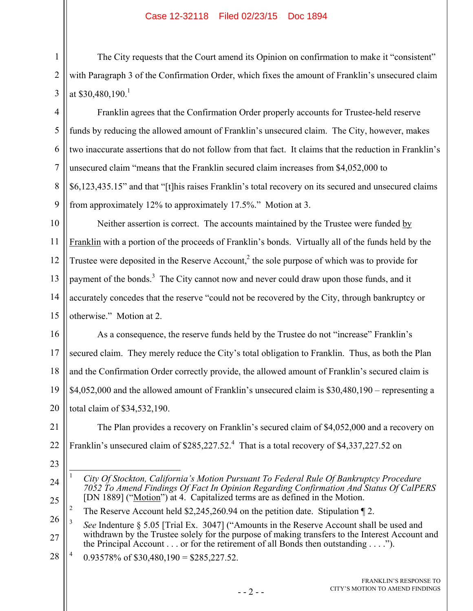## Case 12-32118 Filed 02/23/15 Doc 1894

The City requests that the Court amend its Opinion on confirmation to make it "consistent" with Paragraph 3 of the Confirmation Order, which fixes the amount of Franklin's unsecured claim at  $$30,480,190$ <sup>1</sup>

Franklin agrees that the Confirmation Order properly accounts for Trustee-held reserve funds by reducing the allowed amount of Franklin's unsecured claim. The City, however, makes two inaccurate assertions that do not follow from that fact. It claims that the reduction in Franklin's unsecured claim "means that the Franklin secured claim increases from \$4,052,000 to \$6,123,435.15" and that "[t]his raises Franklin's total recovery on its secured and unsecured claims from approximately 12% to approximately 17.5%." Motion at 3.

10 11 12 13 14 15 Neither assertion is correct. The accounts maintained by the Trustee were funded by Franklin with a portion of the proceeds of Franklin's bonds. Virtually all of the funds held by the Trustee were deposited in the Reserve Account,<sup>2</sup> the sole purpose of which was to provide for payment of the bonds.<sup>3</sup> The City cannot now and never could draw upon those funds, and it accurately concedes that the reserve "could not be recovered by the City, through bankruptcy or otherwise." Motion at 2.

16 17 18 19 20 As a consequence, the reserve funds held by the Trustee do not "increase" Franklin's secured claim. They merely reduce the City's total obligation to Franklin. Thus, as both the Plan and the Confirmation Order correctly provide, the allowed amount of Franklin's secured claim is \$4,052,000 and the allowed amount of Franklin's unsecured claim is \$30,480,190 – representing a total claim of \$34,532,190.

21 22 The Plan provides a recovery on Franklin's secured claim of \$4,052,000 and a recovery on Franklin's unsecured claim of  $$285,227.52$ .<sup>4</sup> That is a total recovery of  $$4,337,227.52$  on

23

1

2

3

4

5

6

7

8

9

2 The Reserve Account held \$2,245,260.94 on the petition date. Stipulation ¶ 2.

28 4 0.93578% of  $$30,480,190 = $285,227.52$ .

<sup>24</sup> 25  $\overline{a}$ 1 *City Of Stockton, California's Motion Pursuant To Federal Rule Of Bankruptcy Procedure 7052 To Amend Findings Of Fact In Opinion Regarding Confirmation And Status Of CalPERS* [DN 1889] ("Motion") at 4. Capitalized terms are as defined in the Motion.

<sup>26</sup> 27 3 *See* Indenture § 5.05 [Trial Ex. 3047] ("Amounts in the Reserve Account shall be used and withdrawn by the Trustee solely for the purpose of making transfers to the Interest Account and the Principal Account . . . or for the retirement of all Bonds then outstanding . . . .").